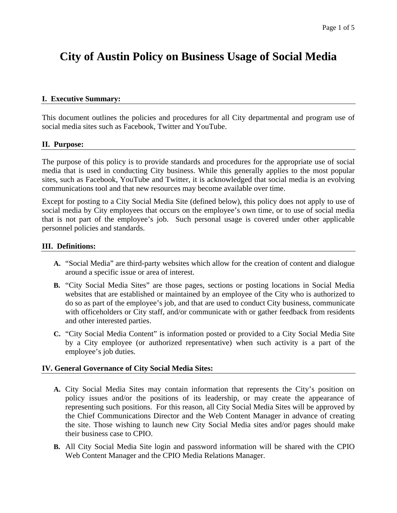# **City of Austin Policy on Business Usage of Social Media**

# **I. Executive Summary:**

This document outlines the policies and procedures for all City departmental and program use of social media sites such as Facebook, Twitter and YouTube.

# **II. Purpose:**

The purpose of this policy is to provide standards and procedures for the appropriate use of social media that is used in conducting City business. While this generally applies to the most popular sites, such as Facebook, YouTube and Twitter, it is acknowledged that social media is an evolving communications tool and that new resources may become available over time.

Except for posting to a City Social Media Site (defined below), this policy does not apply to use of social media by City employees that occurs on the employee's own time, or to use of social media that is not part of the employee's job. Such personal usage is covered under other applicable personnel policies and standards.

# **III. Definitions:**

- **A.** "Social Media" are third-party websites which allow for the creation of content and dialogue around a specific issue or area of interest.
- **B.** "City Social Media Sites" are those pages, sections or posting locations in Social Media websites that are established or maintained by an employee of the City who is authorized to do so as part of the employee's job, and that are used to conduct City business, communicate with officeholders or City staff, and/or communicate with or gather feedback from residents and other interested parties.
- **C.** "City Social Media Content" is information posted or provided to a City Social Media Site by a City employee (or authorized representative) when such activity is a part of the employee's job duties.

#### **IV. General Governance of City Social Media Sites:**

- **A.** City Social Media Sites may contain information that represents the City's position on policy issues and/or the positions of its leadership, or may create the appearance of representing such positions. For this reason, all City Social Media Sites will be approved by the Chief Communications Director and the Web Content Manager in advance of creating the site. Those wishing to launch new City Social Media sites and/or pages should make their business case to CPIO.
- **B.** All City Social Media Site login and password information will be shared with the CPIO Web Content Manager and the CPIO Media Relations Manager.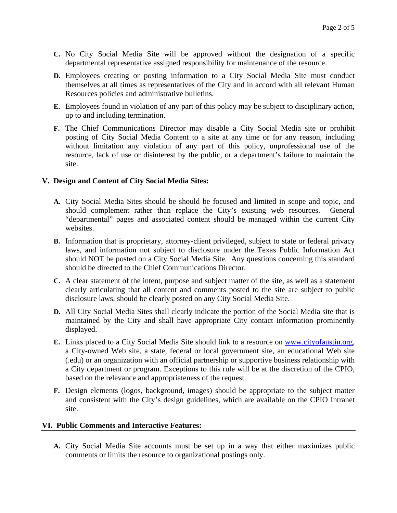- **C.** No City Social Media Site will be approved without the designation of a specific departmental representative assigned responsibility for maintenance of the resource.
- **D.** Employees creating or posting information to a City Social Media Site must conduct themselves at all times as representatives of the City and in accord with all relevant Human Resources policies and administrative bulletins.
- **E.** Employees found in violation of any part of this policy may be subject to disciplinary action, up to and including termination.
- **F.** The Chief Communications Director may disable a City Social Media site or prohibit posting of City Social Media Content to a site at any time or for any reason, including without limitation any violation of any part of this policy, unprofessional use of the resource, lack of use or disinterest by the public, or a department's failure to maintain the site.

# **V. Design and Content of City Social Media Sites:**

- **A.** City Social Media Sites should be should be focused and limited in scope and topic, and should complement rather than replace the City's existing web resources. General "departmental" pages and associated content should be managed within the current City websites.
- **B.** Information that is proprietary, attorney-client privileged, subject to state or federal privacy laws, and information not subject to disclosure under the Texas Public Information Act should NOT be posted on a City Social Media Site. Any questions concerning this standard should be directed to the Chief Communications Director.
- **C.** A clear statement of the intent, purpose and subject matter of the site, as well as a statement clearly articulating that all content and comments posted to the site are subject to public disclosure laws, should be clearly posted on any City Social Media Site.
- **D.** All City Social Media Sites shall clearly indicate the portion of the Social Media site that is maintained by the City and shall have appropriate City contact information prominently displayed.
- **E.** Links placed to a City Social Media Site should link to a resource on [www.cityofaustin.org](http://www.cityofaustin.org/), a City-owned Web site, a state, federal or local government site, an educational Web site (.edu) or an organization with an official partnership or supportive business relationship with a City department or program. Exceptions to this rule will be at the discretion of the CPIO, based on the relevance and appropriateness of the request.
- **F.** Design elements (logos, background, images) should be appropriate to the subject matter and consistent with the City's design guidelines, which are available on the CPIO Intranet site.

#### **VI. Public Comments and Interactive Features:**

**A.** City Social Media Site accounts must be set up in a way that either maximizes public comments or limits the resource to organizational postings only.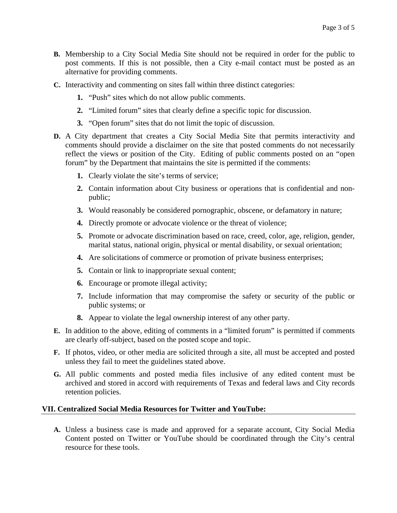- **B.** Membership to a City Social Media Site should not be required in order for the public to post comments. If this is not possible, then a City e-mail contact must be posted as an alternative for providing comments.
- **C.** Interactivity and commenting on sites fall within three distinct categories:
	- **1.** "Push" sites which do not allow public comments.
	- **2.** "Limited forum" sites that clearly define a specific topic for discussion.
	- **3.** "Open forum" sites that do not limit the topic of discussion.
- **D.** A City department that creates a City Social Media Site that permits interactivity and comments should provide a disclaimer on the site that posted comments do not necessarily reflect the views or position of the City. Editing of public comments posted on an "open forum" by the Department that maintains the site is permitted if the comments:
	- **1.** Clearly violate the site's terms of service;
	- **2.** Contain information about City business or operations that is confidential and nonpublic;
	- **3.** Would reasonably be considered pornographic, obscene, or defamatory in nature;
	- **4.** Directly promote or advocate violence or the threat of violence;
	- **5.** Promote or advocate discrimination based on race, creed, color, age, religion, gender, marital status, national origin, physical or mental disability, or sexual orientation;
	- **4.** Are solicitations of commerce or promotion of private business enterprises;
	- **5.** Contain or link to inappropriate sexual content;
	- **6.** Encourage or promote illegal activity;
	- **7.** Include information that may compromise the safety or security of the public or public systems; or
	- **8.** Appear to violate the legal ownership interest of any other party.
- **E.** In addition to the above, editing of comments in a "limited forum" is permitted if comments are clearly off-subject, based on the posted scope and topic.
- **F.** If photos, video, or other media are solicited through a site, all must be accepted and posted unless they fail to meet the guidelines stated above.
- **G.** All public comments and posted media files inclusive of any edited content must be archived and stored in accord with requirements of Texas and federal laws and City records retention policies.

#### **VII. Centralized Social Media Resources for Twitter and YouTube:**

**A.** Unless a business case is made and approved for a separate account, City Social Media Content posted on Twitter or YouTube should be coordinated through the City's central resource for these tools.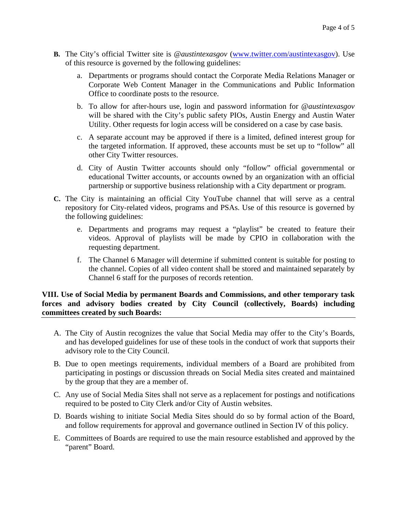- **B.** The City's official Twitter site is *@austintexasgov* ([www.twitter.com/austintexasgov](http://www.twitter.com/austintexasgov)). Use of this resource is governed by the following guidelines:
	- a. Departments or programs should contact the Corporate Media Relations Manager or Corporate Web Content Manager in the Communications and Public Information Office to coordinate posts to the resource.
	- b. To allow for after-hours use, login and password information for *@austintexasgov* will be shared with the City's public safety PIOs, Austin Energy and Austin Water Utility. Other requests for login access will be considered on a case by case basis.
	- c. A separate account may be approved if there is a limited, defined interest group for the targeted information. If approved, these accounts must be set up to "follow" all other City Twitter resources.
	- d. City of Austin Twitter accounts should only "follow" official governmental or educational Twitter accounts, or accounts owned by an organization with an official partnership or supportive business relationship with a City department or program.
- **C.** The City is maintaining an official City YouTube channel that will serve as a central repository for City-related videos, programs and PSAs. Use of this resource is governed by the following guidelines:
	- e. Departments and programs may request a "playlist" be created to feature their videos. Approval of playlists will be made by CPIO in collaboration with the requesting department.
	- f. The Channel 6 Manager will determine if submitted content is suitable for posting to the channel. Copies of all video content shall be stored and maintained separately by Channel 6 staff for the purposes of records retention.

# **VIII. Use of Social Media by permanent Boards and Commissions, and other temporary task forces and advisory bodies created by City Council (collectively, Boards) including committees created by such Boards:**

- A. The City of Austin recognizes the value that Social Media may offer to the City's Boards, and has developed guidelines for use of these tools in the conduct of work that supports their advisory role to the City Council.
- B. Due to open meetings requirements, individual members of a Board are prohibited from participating in postings or discussion threads on Social Media sites created and maintained by the group that they are a member of.
- C. Any use of Social Media Sites shall not serve as a replacement for postings and notifications required to be posted to City Clerk and/or City of Austin websites.
- D. Boards wishing to initiate Social Media Sites should do so by formal action of the Board, and follow requirements for approval and governance outlined in Section IV of this policy.
- E. Committees of Boards are required to use the main resource established and approved by the "parent" Board.